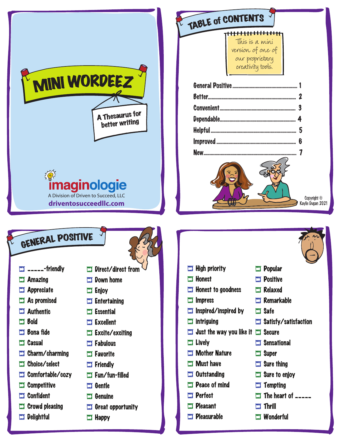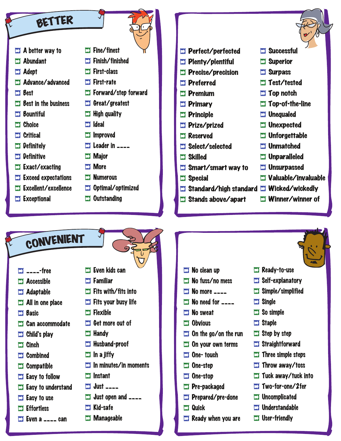

- l **Can accommodate**
- l **Child's play**
- l **Cinch**
- l **Combined**
- l **Compatible**
- **Exactle Figure 1**
- **Exactle 5 Easy to understand**
- **ED** Easy to use
- l **Effortless**
- l **Even a \_\_\_\_ can**
- **EX** Get more out of
- l **Handy**
- **Husband-proof**
- $\Box$  In a jiffy
- **EX** In minutes/in moments
- **EX** Instant
- l **Just \_\_\_\_**
- l **Just open and \_\_\_\_**
- **ET Kid-safe**
- **EX** Manageable
- **EX** Obvious
- **D** On the go/on the run
- **D** On your own terms
- **D** One- touch
- **EX** One-step
- **ED** One-stop
- **ED** Pre-packaged
- **ED** Prepared/pre-done
- **LI** Quick
- **EX** Ready when you are
- **ET** Staple
- **ED** Step by step
- **ED** Straightforward
- **Three simple steps**
- **EX** Throw away/toss
- **T** Tuck away/tuck into
- l **Two-for-one/2fer**
- **L** Uncomplicated
- **LI** Understandable
- l **User-friendly**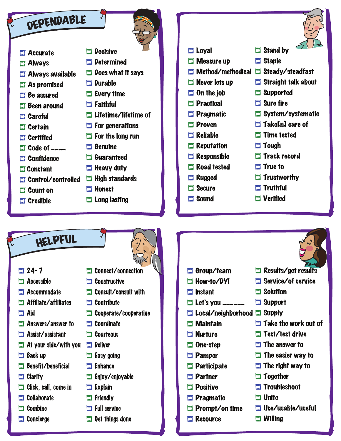## DEPENDABLE

- $\square$  Accurate
- $\square$  Always
- $\Box$  Always available
- $\square$  As promised
- $\Box$  Be assured
- $\square$  Been around
- $\square$  Careful
- $\square$  Certain
- $\square$  Certified
- $\Box$  Code of  $\Box$
- $\square$  Confidence
- **El Constant**
- $\square$  Control/controlled
- $\Box$  Count on
- $\Box$  Credible
- $\square$  Does what it says  $\Box$  Durable
- $\Box$  Every time
- $\Box$  Faithful

 $\square$  Decisive

**El Determined** 

- $\square$  Lifetime/lifetime of
- $\Box$  For generations
- $\Box$  For the long run
- $\Box$  Genuine
	- **L** Guaranteed
	- $\Box$  Heavy duty
	- $\Box$  High standards
	- $\square$  Honest
	- $\square$  Long lasting
- $\square$  Loyal
- $\square$  Measure up
- I Method/methodical I Steady/steadfast
- $\Box$  Never lets up
- $\Box$  On the job
- $\square$  Practical
- **El Pragmatic**
- $\square$  Proven
- $\Box$  Reliable
- $\square$  Reputation
- $\Box$  Responsible
- $\Box$  Road tested
- $\Box$  Rugged
- $\square$  Secure
- $\square$  Sound
- $\Box$  Stand by
- $\square$  Staple
	-
- $\Box$  Straight talk about
- **LI** Supported
- $\Box$  Sure fire
- $\Box$  System/systematic
- $\Box$  Take[n] care of
- $\square$  Time tested
- $\square$  Tough
- $\square$  Track record
- **T** True to
- $\square$  Trustworthy

 $\Box$  Results/get results  $\square$  Service/of service

 $\square$  Take the work out of

 $\Box$  Test/test drive  $\Box$  The answer to

 $\square$  The easier way to  $\Box$  The right way to

 $\square$  Use/usable/useful

 $\Box$  Solution

 $\Box$  Support

 $\square$  Together

 $\Box$  Unite

 $\square$  Willing

 $\Box$  Troubleshoot

- $\Box$  Truthful
- $\Box$  Verified

- HELPFUL
- $\Box$  24- 7
- **EX** Accessible
- **EX** Accommodate
- l **Affiliate/affiliates**
- l **Aid**
- **EX Answers/answer to**
- l **Assist/assistant**
- **I** At your side/with you **D** Deliver
- **EJ** Back up
- **EJ Benefit/beneficial**
- **E** Clarify
- $\Box$  Click, call, come in
- l **Collaborate**
- l **Combine**
- **Ex** Concierge
- l **Connect/connection ED** Constructive
- **EX Consult/consult with**
- l **Contribute**
- l **Cooperate/cooperative**
- l **Coordinate**
- l **Courteous**
- 
- **Exact Grad**
- **ET Enhance**
- **Enjoy/enjoyable**
- **Explain**
- l **Friendly**
- **Full service**
- **ED** Get things done
- $\Box$  Group/team
- **ET How-to/DYI**
- $\Box$  Instant
- $\Box$  Let's you \_\_\_\_\_\_
- $\Box$  Local/neighborhood  $\Box$  Supply
- $\square$  Maintain
- **El Nurture**
- $\square$  One-step
- $\square$  Pamper
- $\square$  Participate

 $\Box$  Pragmatic

 $\Box$  Resource

 $\Box$  Prompt/on time

 $\square$  Partner  $\square$  Positive